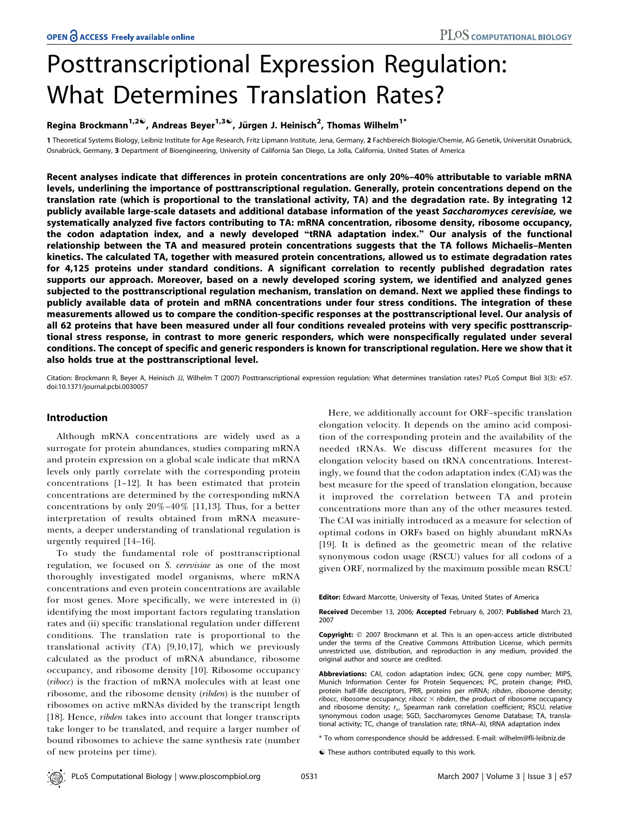# Posttranscriptional Expression Regulation: What Determines Translation Rates?

## Regina Brockmann<sup>1,2©</sup>, Andreas Beyer<sup>1,3©</sup>, Jürgen J. Heinisch<sup>2</sup>, Thomas Wilhelm<sup>1\*</sup>

1 Theoretical Systems Biology, Leibniz Institute for Age Research, Fritz Lipmann Institute, Jena, Germany, 2 Fachbereich Biologie/Chemie, AG Genetik, Universität Osnabrück, Osnabrück, Germany, 3 Department of Bioengineering, University of California San Diego, La Jolla, California, United States of America

Recent analyses indicate that differences in protein concentrations are only 20%–40% attributable to variable mRNA levels, underlining the importance of posttranscriptional regulation. Generally, protein concentrations depend on the translation rate (which is proportional to the translational activity, TA) and the degradation rate. By integrating 12 publicly available large-scale datasets and additional database information of the yeast Saccharomyces cerevisiae, we systematically analyzed five factors contributing to TA: mRNA concentration, ribosome density, ribosome occupancy, the codon adaptation index, and a newly developed ''tRNA adaptation index.'' Our analysis of the functional relationship between the TA and measured protein concentrations suggests that the TA follows Michaelis–Menten kinetics. The calculated TA, together with measured protein concentrations, allowed us to estimate degradation rates for 4,125 proteins under standard conditions. A significant correlation to recently published degradation rates supports our approach. Moreover, based on a newly developed scoring system, we identified and analyzed genes subjected to the posttranscriptional regulation mechanism, translation on demand. Next we applied these findings to publicly available data of protein and mRNA concentrations under four stress conditions. The integration of these measurements allowed us to compare the condition-specific responses at the posttranscriptional level. Our analysis of all 62 proteins that have been measured under all four conditions revealed proteins with very specific posttranscriptional stress response, in contrast to more generic responders, which were nonspecifically regulated under several conditions. The concept of specific and generic responders is known for transcriptional regulation. Here we show that it also holds true at the posttranscriptional level.

Citation: Brockmann R, Beyer A, Heinisch JJ, Wilhelm T (2007) Posttranscriptional expression regulation: What determines translation rates? PLoS Comput Biol 3(3): e57. doi:10.1371/journal.pcbi.0030057

#### Introduction

Although mRNA concentrations are widely used as a surrogate for protein abundances, studies comparing mRNA and protein expression on a global scale indicate that mRNA levels only partly correlate with the corresponding protein concentrations [1–12]. It has been estimated that protein concentrations are determined by the corresponding mRNA concentrations by only 20%–40% [11,13]. Thus, for a better interpretation of results obtained from mRNA measurements, a deeper understanding of translational regulation is urgently required [14–16].

To study the fundamental role of posttranscriptional regulation, we focused on S. cerevisiae as one of the most thoroughly investigated model organisms, where mRNA concentrations and even protein concentrations are available for most genes. More specifically, we were interested in (i) identifying the most important factors regulating translation rates and (ii) specific translational regulation under different conditions. The translation rate is proportional to the translational activity (TA) [9,10,17], which we previously calculated as the product of mRNA abundance, ribosome occupancy, and ribosome density [10]. Ribosome occupancy (ribocc) is the fraction of mRNA molecules with at least one ribosome, and the ribosome density *(ribden)* is the number of ribosomes on active mRNAs divided by the transcript length [18]. Hence, *ribden* takes into account that longer transcripts take longer to be translated, and require a larger number of bound ribosomes to achieve the same synthesis rate (number of new proteins per time).

Here, we additionally account for ORF–specific translation elongation velocity. It depends on the amino acid composition of the corresponding protein and the availability of the needed tRNAs. We discuss different measures for the elongation velocity based on tRNA concentrations. Interestingly, we found that the codon adaptation index (CAI) was the best measure for the speed of translation elongation, because it improved the correlation between TA and protein concentrations more than any of the other measures tested. The CAI was initially introduced as a measure for selection of optimal codons in ORFs based on highly abundant mRNAs [19]. It is defined as the geometric mean of the relative synonymous codon usage (RSCU) values for all codons of a given ORF, normalized by the maximum possible mean RSCU

Editor: Edward Marcotte, University of Texas, United States of America

Received December 13, 2006; Accepted February 6, 2007; Published March 23, 2007

Copyright: © 2007 Brockmann et al. This is an open-access article distributed under the terms of the Creative Commons Attribution License, which permits unrestricted use, distribution, and reproduction in any medium, provided the original author and source are credited.

Abbreviations: CAI, codon adaptation index; GCN, gene copy number; MIPS, Munich Information Center for Protein Sequences; PC, protein change; PHD, protein half-life descriptors, PRR, proteins per mRNA; ribden, ribosome density; ribocc, ribosome occupancy; ribocc  $\times$  ribden, the product of ribosome occupancy and ribosome density; r<sub>s</sub>, Spearman rank correlation coefficient; RSCU, relative synonymous codon usage; SGD, Saccharomyces Genome Database; TA, translational activity; TC, change of translation rate; tRNA–AI, tRNA adaptation index

\* To whom correspondence should be addressed. E-mail: wilhelm@fli-leibniz.de

 $\bullet$  These authors contributed equally to this work.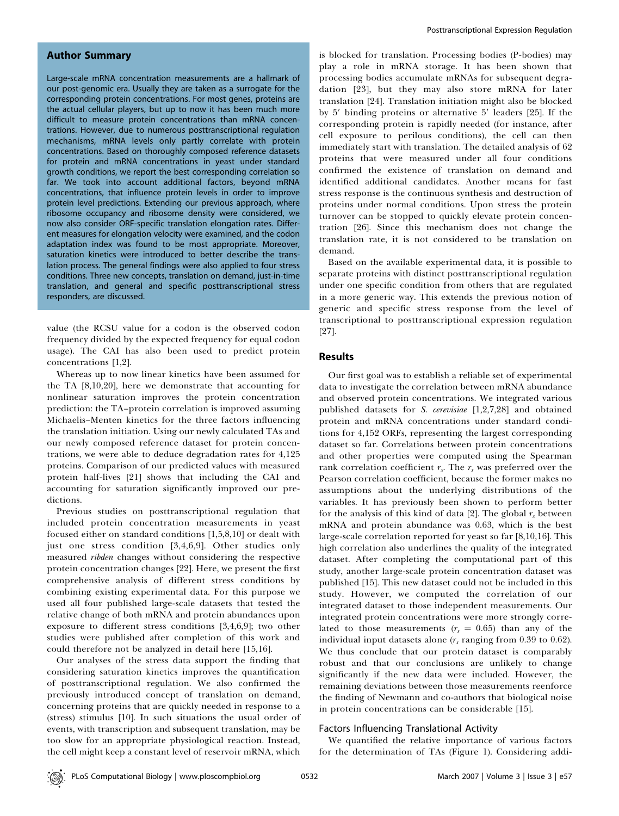#### Author Summary

Large-scale mRNA concentration measurements are a hallmark of our post-genomic era. Usually they are taken as a surrogate for the corresponding protein concentrations. For most genes, proteins are the actual cellular players, but up to now it has been much more difficult to measure protein concentrations than mRNA concentrations. However, due to numerous posttranscriptional regulation mechanisms, mRNA levels only partly correlate with protein concentrations. Based on thoroughly composed reference datasets for protein and mRNA concentrations in yeast under standard growth conditions, we report the best corresponding correlation so far. We took into account additional factors, beyond mRNA concentrations, that influence protein levels in order to improve protein level predictions. Extending our previous approach, where ribosome occupancy and ribosome density were considered, we now also consider ORF-specific translation elongation rates. Different measures for elongation velocity were examined, and the codon adaptation index was found to be most appropriate. Moreover, saturation kinetics were introduced to better describe the translation process. The general findings were also applied to four stress conditions. Three new concepts, translation on demand, just-in-time translation, and general and specific posttranscriptional stress responders, are discussed.

value (the RCSU value for a codon is the observed codon frequency divided by the expected frequency for equal codon usage). The CAI has also been used to predict protein concentrations [1,2].

Whereas up to now linear kinetics have been assumed for the TA [8,10,20], here we demonstrate that accounting for nonlinear saturation improves the protein concentration prediction: the TA–protein correlation is improved assuming Michaelis–Menten kinetics for the three factors influencing the translation initiation. Using our newly calculated TAs and our newly composed reference dataset for protein concentrations, we were able to deduce degradation rates for 4,125 proteins. Comparison of our predicted values with measured protein half-lives [21] shows that including the CAI and accounting for saturation significantly improved our predictions.

Previous studies on posttranscriptional regulation that included protein concentration measurements in yeast focused either on standard conditions [1,5,8,10] or dealt with just one stress condition [3,4,6,9]. Other studies only measured ribden changes without considering the respective protein concentration changes [22]. Here, we present the first comprehensive analysis of different stress conditions by combining existing experimental data. For this purpose we used all four published large-scale datasets that tested the relative change of both mRNA and protein abundances upon exposure to different stress conditions [3,4,6,9]; two other studies were published after completion of this work and could therefore not be analyzed in detail here [15,16].

Our analyses of the stress data support the finding that considering saturation kinetics improves the quantification of posttranscriptional regulation. We also confirmed the previously introduced concept of translation on demand, concerning proteins that are quickly needed in response to a (stress) stimulus [10]. In such situations the usual order of events, with transcription and subsequent translation, may be too slow for an appropriate physiological reaction. Instead, the cell might keep a constant level of reservoir mRNA, which

is blocked for translation. Processing bodies (P-bodies) may play a role in mRNA storage. It has been shown that processing bodies accumulate mRNAs for subsequent degradation [23], but they may also store mRNA for later translation [24]. Translation initiation might also be blocked by 5' binding proteins or alternative 5' leaders [25]. If the corresponding protein is rapidly needed (for instance, after cell exposure to perilous conditions), the cell can then immediately start with translation. The detailed analysis of 62 proteins that were measured under all four conditions confirmed the existence of translation on demand and identified additional candidates. Another means for fast stress response is the continuous synthesis and destruction of proteins under normal conditions. Upon stress the protein turnover can be stopped to quickly elevate protein concentration [26]. Since this mechanism does not change the translation rate, it is not considered to be translation on demand.

Based on the available experimental data, it is possible to separate proteins with distinct posttranscriptional regulation under one specific condition from others that are regulated in a more generic way. This extends the previous notion of generic and specific stress response from the level of transcriptional to posttranscriptional expression regulation [27].

### Results

Our first goal was to establish a reliable set of experimental data to investigate the correlation between mRNA abundance and observed protein concentrations. We integrated various published datasets for S. cerevisiae [1,2,7,28] and obtained protein and mRNA concentrations under standard conditions for 4,152 ORFs, representing the largest corresponding dataset so far. Correlations between protein concentrations and other properties were computed using the Spearman rank correlation coefficient  $r_s$ . The  $r_s$  was preferred over the Pearson correlation coefficient, because the former makes no assumptions about the underlying distributions of the variables. It has previously been shown to perform better for the analysis of this kind of data [2]. The global  $r_s$  between mRNA and protein abundance was 0.63, which is the best large-scale correlation reported for yeast so far [8,10,16]. This high correlation also underlines the quality of the integrated dataset. After completing the computational part of this study, another large-scale protein concentration dataset was published [15]. This new dataset could not be included in this study. However, we computed the correlation of our integrated dataset to those independent measurements. Our integrated protein concentrations were more strongly correlated to those measurements ( $r_s = 0.65$ ) than any of the individual input datasets alone  $(r_s$  ranging from 0.39 to 0.62). We thus conclude that our protein dataset is comparably robust and that our conclusions are unlikely to change significantly if the new data were included. However, the remaining deviations between those measurements reenforce the finding of Newmann and co-authors that biological noise in protein concentrations can be considerable [15].

#### Factors Influencing Translational Activity

We quantified the relative importance of various factors for the determination of TAs (Figure 1). Considering addi-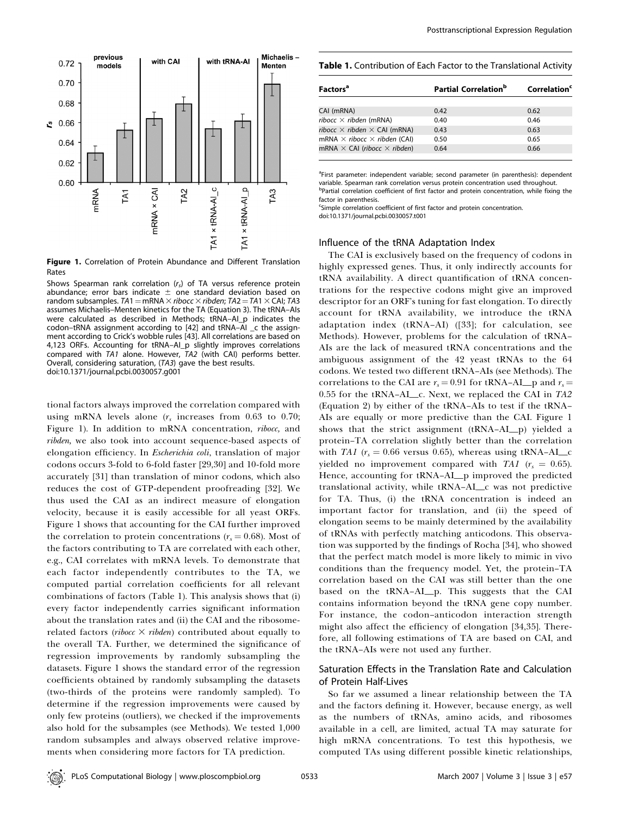

Figure 1. Correlation of Protein Abundance and Different Translation Rates

Shows Spearman rank correlation  $(r_s)$  of TA versus reference protein abundance; error bars indicate  $\pm$  one standard deviation based on random subsamples. TA1 = mRNA  $\times$  ribocc  $\times$  ribden; TA2 = TA1  $\times$  CAI; TA3 assumes Michaelis–Menten kinetics for the TA (Equation 3). The tRNA–AIs were calculated as described in Methods; tRNA-AI p indicates the codon–tRNA assignment according to [42] and tRNA–AI \_c the assignment according to Crick's wobble rules [43]. All correlations are based on 4,123 ORFs. Accounting for tRNA–AI\_p slightly improves correlations compared with TA1 alone. However, TA2 (with CAI) performs better. Overall, considering saturation, (TA3) gave the best results. doi:10.1371/journal.pcbi.0030057.g001

tional factors always improved the correlation compared with using mRNA levels alone  $(r_s$  increases from 0.63 to 0.70; Figure 1). In addition to mRNA concentration, ribocc, and ribden, we also took into account sequence-based aspects of elongation efficiency. In Escherichia coli, translation of major codons occurs 3-fold to 6-fold faster [29,30] and 10-fold more accurately [31] than translation of minor codons, which also reduces the cost of GTP-dependent proofreading [32]. We thus used the CAI as an indirect measure of elongation velocity, because it is easily accessible for all yeast ORFs. Figure 1 shows that accounting for the CAI further improved the correlation to protein concentrations ( $r_s = 0.68$ ). Most of the factors contributing to TA are correlated with each other, e.g., CAI correlates with mRNA levels. To demonstrate that each factor independently contributes to the TA, we computed partial correlation coefficients for all relevant combinations of factors (Table 1). This analysis shows that (i) every factor independently carries significant information about the translation rates and (ii) the CAI and the ribosomerelated factors (*ribocc*  $\times$  *ribden*) contributed about equally to the overall TA. Further, we determined the significance of regression improvements by randomly subsampling the datasets. Figure 1 shows the standard error of the regression coefficients obtained by randomly subsampling the datasets (two-thirds of the proteins were randomly sampled). To determine if the regression improvements were caused by only few proteins (outliers), we checked if the improvements also hold for the subsamples (see Methods). We tested 1,000 random subsamples and always observed relative improvements when considering more factors for TA prediction.

Table 1. Contribution of Each Factor to the Translational Activity

| <b>Factors<sup>a</sup></b>                 | <b>Partial Correlation</b> <sup>b</sup> | Correlation <sup>c</sup> |
|--------------------------------------------|-----------------------------------------|--------------------------|
|                                            |                                         |                          |
| CAI (mRNA)                                 | 0.42                                    | 0.62                     |
| ribocc $\times$ ribden (mRNA)              | 0.40                                    | 0.46                     |
| ribocc $\times$ ribden $\times$ CAI (mRNA) | 0.43                                    | 0.63                     |
| mRNA $\times$ ribocc $\times$ ribden (CAI) | 0.50                                    | 0.65                     |
| mRNA $\times$ CAI (ribocc $\times$ ribden) | 0.64                                    | 0.66                     |

<sup>a</sup>First parameter: independent variable; second parameter (in parenthesis): dependent variable. Spearman rank correlation versus protein concentration used throughout. <sup>b</sup>Partial correlation coefficient of first factor and protein concentration, while fixing the factor in parenthesis.

<sup>c</sup>Simple correlation coefficient of first factor and protein concentration.

doi:10.1371/journal.pcbi.0030057.t001

#### Influence of the tRNA Adaptation Index

The CAI is exclusively based on the frequency of codons in highly expressed genes. Thus, it only indirectly accounts for tRNA availability. A direct quantification of tRNA concentrations for the respective codons might give an improved descriptor for an ORF's tuning for fast elongation. To directly account for tRNA availability, we introduce the tRNA adaptation index (tRNA–AI) ([33]; for calculation, see Methods). However, problems for the calculation of tRNA– AIs are the lack of measured tRNA concentrations and the ambiguous assignment of the 42 yeast tRNAs to the 64 codons. We tested two different tRNA–AIs (see Methods). The correlations to the CAI are  $r_s = 0.91$  for tRNA–AI\_p and  $r_s =$ 0.55 for the tRNA–AI\_c. Next, we replaced the CAI in TA2 (Equation 2) by either of the tRNA–AIs to test if the tRNA– AIs are equally or more predictive than the CAI. Figure 1 shows that the strict assignment (tRNA–AI\_p) yielded a protein–TA correlation slightly better than the correlation with TA1 ( $r_s = 0.66$  versus 0.65), whereas using tRNA-AI\_c yielded no improvement compared with TA1 ( $r_s = 0.65$ ). Hence, accounting for tRNA–AI\_p improved the predicted translational activity, while tRNA–AI\_c was not predictive for TA. Thus, (i) the tRNA concentration is indeed an important factor for translation, and (ii) the speed of elongation seems to be mainly determined by the availability of tRNAs with perfectly matching anticodons. This observation was supported by the findings of Rocha [34], who showed that the perfect match model is more likely to mimic in vivo conditions than the frequency model. Yet, the protein–TA correlation based on the CAI was still better than the one based on the tRNA–AI\_p. This suggests that the CAI contains information beyond the tRNA gene copy number. For instance, the codon–anticodon interaction strength might also affect the efficiency of elongation [34,35]. Therefore, all following estimations of TA are based on CAI, and the tRNA–AIs were not used any further.

#### Saturation Effects in the Translation Rate and Calculation of Protein Half-Lives

So far we assumed a linear relationship between the TA and the factors defining it. However, because energy, as well as the numbers of tRNAs, amino acids, and ribosomes available in a cell, are limited, actual TA may saturate for high mRNA concentrations. To test this hypothesis, we computed TAs using different possible kinetic relationships,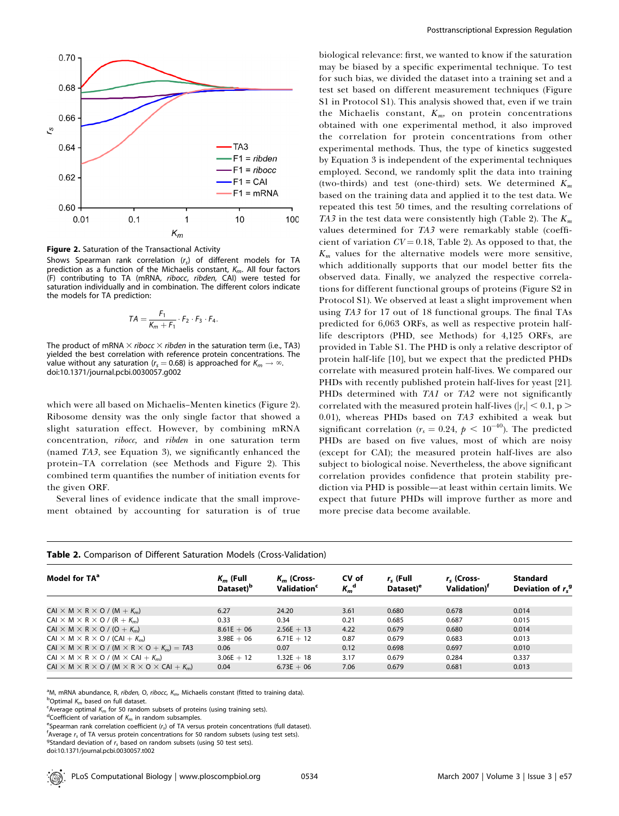

Figure 2. Saturation of the Transactional Activity

Shows Spearman rank correlation  $(r_s)$  of different models for TA prediction as a function of the Michaelis constant,  $K_m$ . All four factors (F) contributing to TA (mRNA, ribocc, ribden, CAI) were tested for saturation individually and in combination. The different colors indicate the models for TA prediction:

$$
TA = \frac{F_1}{K_m + F_1} \cdot F_2 \cdot F_3 \cdot F_4.
$$

The product of mRNA  $\times$  ribocc  $\times$  ribden in the saturation term (i.e., TA3) yielded the best correlation with reference protein concentrations. The value without any saturation ( $r_s = 0.68$ ) is approached for  $K_m \rightarrow \infty$ . doi:10.1371/journal.pcbi.0030057.g002

which were all based on Michaelis–Menten kinetics (Figure 2). Ribosome density was the only single factor that showed a slight saturation effect. However, by combining mRNA concentration, *ribocc*, and *ribden* in one saturation term (named TA3, see Equation 3), we significantly enhanced the protein–TA correlation (see Methods and Figure 2). This combined term quantifies the number of initiation events for the given ORF.

Several lines of evidence indicate that the small improvement obtained by accounting for saturation is of true

biological relevance: first, we wanted to know if the saturation may be biased by a specific experimental technique. To test for such bias, we divided the dataset into a training set and a test set based on different measurement techniques (Figure S1 in Protocol S1). This analysis showed that, even if we train the Michaelis constant,  $K_m$ , on protein concentrations obtained with one experimental method, it also improved the correlation for protein concentrations from other experimental methods. Thus, the type of kinetics suggested by Equation 3 is independent of the experimental techniques employed. Second, we randomly split the data into training (two-thirds) and test (one-third) sets. We determined  $K_m$ based on the training data and applied it to the test data. We repeated this test 50 times, and the resulting correlations of TA3 in the test data were consistently high (Table 2). The  $K_m$ values determined for TA3 were remarkably stable (coefficient of variation  $CV = 0.18$ , Table 2). As opposed to that, the  $K<sub>m</sub>$  values for the alternative models were more sensitive, which additionally supports that our model better fits the observed data. Finally, we analyzed the respective correlations for different functional groups of proteins (Figure S2 in Protocol S1). We observed at least a slight improvement when using TA3 for 17 out of 18 functional groups. The final TAs predicted for 6,063 ORFs, as well as respective protein halflife descriptors (PHD, see Methods) for 4,125 ORFs, are provided in Table S1. The PHD is only a relative descriptor of protein half-life [10], but we expect that the predicted PHDs correlate with measured protein half-lives. We compared our PHDs with recently published protein half-lives for yeast [21]. PHDs determined with TA1 or TA2 were not significantly correlated with the measured protein half-lives ( $|r_s|$  < 0.1, p > 0.01), whereas PHDs based on TA3 exhibited a weak but significant correlation ( $r_s = 0.24$ ,  $p < 10^{-40}$ ). The predicted PHDs are based on five values, most of which are noisy (except for CAI); the measured protein half-lives are also subject to biological noise. Nevertheless, the above significant correlation provides confidence that protein stability prediction via PHD is possible—at least within certain limits. We expect that future PHDs will improve further as more and more precise data become available.

| Model for TA <sup>a</sup>                                                                       | $K_m$ (Full          | $K_m$ (Cross-           | CV of           | $r_{s}$ (Full         | r. (Cross-              | <b>Standard</b>                |
|-------------------------------------------------------------------------------------------------|----------------------|-------------------------|-----------------|-----------------------|-------------------------|--------------------------------|
|                                                                                                 | Dataset <sup>b</sup> | Validation <sup>c</sup> | $K_m^{\dagger}$ | Dataset) <sup>e</sup> | Validation <sup>®</sup> | Deviation of $re$ <sup>g</sup> |
|                                                                                                 |                      |                         |                 |                       |                         |                                |
| CAI $\times$ M $\times$ R $\times$ O / (M + K <sub>m</sub> )                                    | 6.27                 | 24.20                   | 3.61            | 0.680                 | 0.678                   | 0.014                          |
| CAI $\times$ M $\times$ R $\times$ O / (R + K <sub>m</sub> )                                    | 0.33                 | 0.34                    | 0.21            | 0.685                 | 0.687                   | 0.015                          |
| CAI $\times$ M $\times$ R $\times$ O / (O + K <sub>m</sub> )                                    | $8.61E + 06$         | $2.56E + 13$            | 4.22            | 0.679                 | 0.680                   | 0.014                          |
| CAI $\times$ M $\times$ R $\times$ O / (CAI + K <sub>m</sub> )                                  | $3.98E + 06$         | $6.71E + 12$            | 0.87            | 0.679                 | 0.683                   | 0.013                          |
| CAI $\times$ M $\times$ R $\times$ O / (M $\times$ R $\times$ O + K <sub>m</sub> ) = TA3        | 0.06                 | 0.07                    | 0.12            | 0.698                 | 0.697                   | 0.010                          |
| CAI $\times$ M $\times$ R $\times$ O / (M $\times$ CAI + K <sub>m</sub> )                       | $3.06E + 12$         | $1.32E + 18$            | 3.17            | 0.679                 | 0.284                   | 0.337                          |
| CAI $\times$ M $\times$ R $\times$ O / (M $\times$ R $\times$ O $\times$ CAI + K <sub>m</sub> ) | 0.04                 | $6.73E + 06$            | 7.06            | 0.679                 | 0.681                   | 0.013                          |

|  |  |  |  |  |  |  | <b>Table 2.</b> Comparison of Different Saturation Models (Cross-Validation) |  |
|--|--|--|--|--|--|--|------------------------------------------------------------------------------|--|
|--|--|--|--|--|--|--|------------------------------------------------------------------------------|--|

<sup>a</sup>M, mRNA abundance, R, *ribden, O, ribocc, K<sub>m</sub>, M*ichaelis constant (fitted to training data).<br><sup>b</sup>Optimal K, based on full dataset  $^{b}$ Optimal  $K_{m}$  based on full dataset.

<sup>d</sup>Coefficient of variation of  $K_m$  in random subsamples.

<sup>&</sup>lt;sup>c</sup>Average optimal  $K_m$  for 50 random subsets of proteins (using training sets).

 $e<sup>e</sup>$ Spearman rank correlation coefficient ( $r<sub>s</sub>$ ) of TA versus protein concentrations (full dataset).

<sup>&</sup>lt;sup>f</sup>Average  $r_s$  of TA versus protein concentrations for 50 random subsets (using test sets).

<sup>&</sup>lt;sup>9</sup>Standard deviation of  $r_s$  based on random subsets (using 50 test sets).

doi:10.1371/journal.pcbi.0030057.t002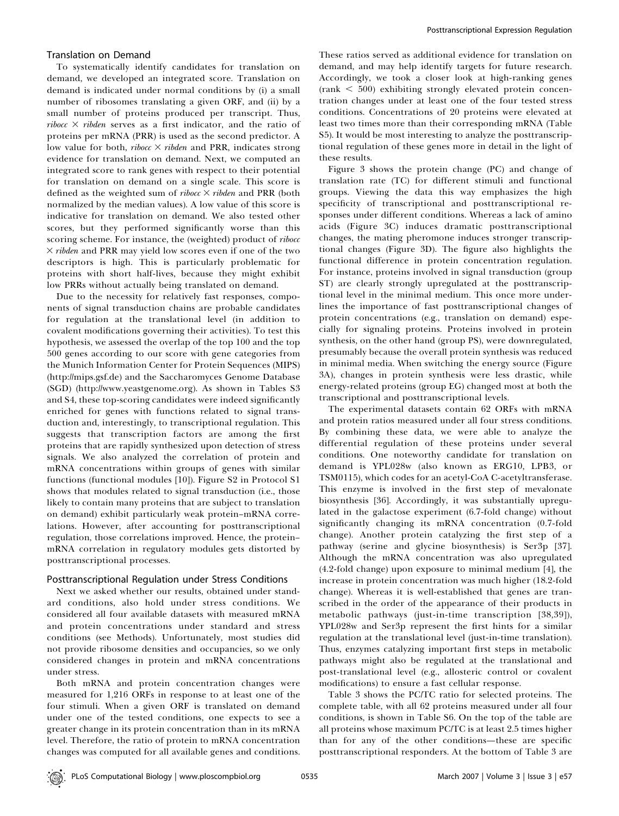#### Translation on Demand

To systematically identify candidates for translation on demand, we developed an integrated score. Translation on demand is indicated under normal conditions by (i) a small number of ribosomes translating a given ORF, and (ii) by a small number of proteins produced per transcript. Thus,  $ribocc \times ribden$  serves as a first indicator, and the ratio of proteins per mRNA (PRR) is used as the second predictor. A low value for both, *ribocc*  $\times$  *ribden* and PRR, indicates strong evidence for translation on demand. Next, we computed an integrated score to rank genes with respect to their potential for translation on demand on a single scale. This score is defined as the weighted sum of  $ribocc \times ribden$  and PRR (both normalized by the median values). A low value of this score is indicative for translation on demand. We also tested other scores, but they performed significantly worse than this scoring scheme. For instance, the (weighted) product of *ribocc*  $\times$  ribden and PRR may yield low scores even if one of the two descriptors is high. This is particularly problematic for proteins with short half-lives, because they might exhibit low PRRs without actually being translated on demand.

Due to the necessity for relatively fast responses, components of signal transduction chains are probable candidates for regulation at the translational level (in addition to covalent modifications governing their activities). To test this hypothesis, we assessed the overlap of the top 100 and the top 500 genes according to our score with gene categories from the Munich Information Center for Protein Sequences (MIPS) (http://mips.gsf.de) and the Saccharomyces Genome Database (SGD) (http://www.yeastgenome.org). As shown in Tables S3 and S4, these top-scoring candidates were indeed significantly enriched for genes with functions related to signal transduction and, interestingly, to transcriptional regulation. This suggests that transcription factors are among the first proteins that are rapidly synthesized upon detection of stress signals. We also analyzed the correlation of protein and mRNA concentrations within groups of genes with similar functions (functional modules [10]). Figure S2 in Protocol S1 shows that modules related to signal transduction (i.e., those likely to contain many proteins that are subject to translation on demand) exhibit particularly weak protein–mRNA correlations. However, after accounting for posttranscriptional regulation, those correlations improved. Hence, the protein– mRNA correlation in regulatory modules gets distorted by posttranscriptional processes.

#### Posttranscriptional Regulation under Stress Conditions

Next we asked whether our results, obtained under standard conditions, also hold under stress conditions. We considered all four available datasets with measured mRNA and protein concentrations under standard and stress conditions (see Methods). Unfortunately, most studies did not provide ribosome densities and occupancies, so we only considered changes in protein and mRNA concentrations under stress.

Both mRNA and protein concentration changes were measured for 1,216 ORFs in response to at least one of the four stimuli. When a given ORF is translated on demand under one of the tested conditions, one expects to see a greater change in its protein concentration than in its mRNA level. Therefore, the ratio of protein to mRNA concentration changes was computed for all available genes and conditions.

These ratios served as additional evidence for translation on demand, and may help identify targets for future research. Accordingly, we took a closer look at high-ranking genes  $(rank < 500)$  exhibiting strongly elevated protein concentration changes under at least one of the four tested stress conditions. Concentrations of 20 proteins were elevated at least two times more than their corresponding mRNA (Table S5). It would be most interesting to analyze the posttranscriptional regulation of these genes more in detail in the light of these results.

Figure 3 shows the protein change (PC) and change of translation rate (TC) for different stimuli and functional groups. Viewing the data this way emphasizes the high specificity of transcriptional and posttranscriptional responses under different conditions. Whereas a lack of amino acids (Figure 3C) induces dramatic posttranscriptional changes, the mating pheromone induces stronger transcriptional changes (Figure 3D). The figure also highlights the functional difference in protein concentration regulation. For instance, proteins involved in signal transduction (group ST) are clearly strongly upregulated at the posttranscriptional level in the minimal medium. This once more underlines the importance of fast posttranscriptional changes of protein concentrations (e.g., translation on demand) especially for signaling proteins. Proteins involved in protein synthesis, on the other hand (group PS), were downregulated, presumably because the overall protein synthesis was reduced in minimal media. When switching the energy source (Figure 3A), changes in protein synthesis were less drastic, while energy-related proteins (group EG) changed most at both the transcriptional and posttranscriptional levels.

The experimental datasets contain 62 ORFs with mRNA and protein ratios measured under all four stress conditions. By combining these data, we were able to analyze the differential regulation of these proteins under several conditions. One noteworthy candidate for translation on demand is YPL028w (also known as ERG10, LPB3, or TSM0115), which codes for an acetyl-CoA C-acetyltransferase. This enzyme is involved in the first step of mevalonate biosynthesis [36]. Accordingly, it was substantially upregulated in the galactose experiment (6.7-fold change) without significantly changing its mRNA concentration (0.7-fold change). Another protein catalyzing the first step of a pathway (serine and glycine biosynthesis) is Ser3p [37]. Although the mRNA concentration was also upregulated (4.2-fold change) upon exposure to minimal medium [4], the increase in protein concentration was much higher (18.2-fold change). Whereas it is well-established that genes are transcribed in the order of the appearance of their products in metabolic pathways (just-in-time transcription [38,39]), YPL028w and Ser3p represent the first hints for a similar regulation at the translational level (just-in-time translation). Thus, enzymes catalyzing important first steps in metabolic pathways might also be regulated at the translational and post-translational level (e.g., allosteric control or covalent modifications) to ensure a fast cellular response.

Table 3 shows the PC/TC ratio for selected proteins. The complete table, with all 62 proteins measured under all four conditions, is shown in Table S6. On the top of the table are all proteins whose maximum PC/TC is at least 2.5 times higher than for any of the other conditions—these are specific posttranscriptional responders. At the bottom of Table 3 are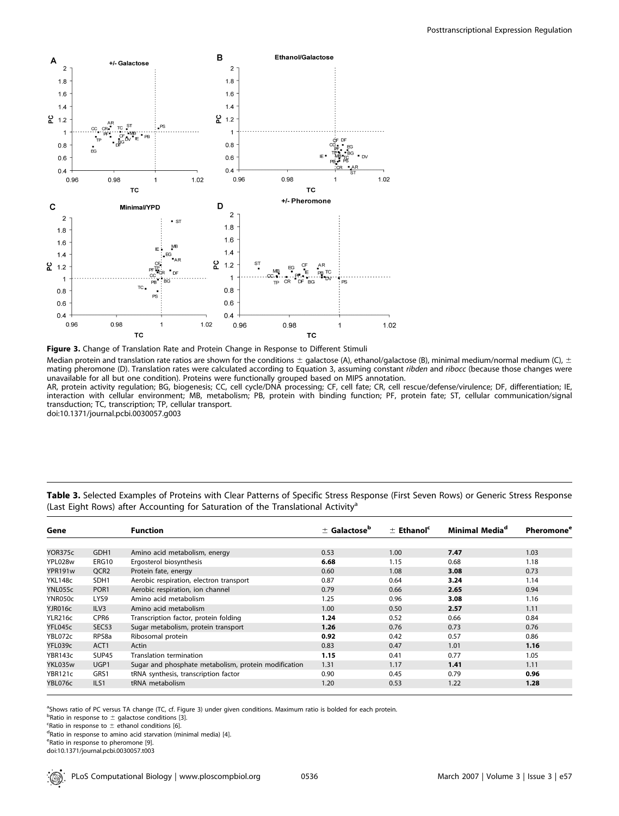

Figure 3. Change of Translation Rate and Protein Change in Response to Different Stimuli

Median protein and translation rate ratios are shown for the conditions  $\pm$  galactose (A), ethanol/galactose (B), minimal medium/normal medium (C),  $\pm$ mating pheromone (D). Translation rates were calculated according to Equation 3, assuming constant ribden and ribocc (because those changes were unavailable for all but one condition). Proteins were functionally grouped based on MIPS annotation.

AR, protein activity regulation; BG, biogenesis; CC, cell cycle/DNA processing; CF, cell fate; CR, cell rescue/defense/virulence; DF, differentiation; IE, interaction with cellular environment; MB, metabolism; PB, protein with binding function; PF, protein fate; ST, cellular communication/signal transduction; TC, transcription; TP, cellular transport.

doi:10.1371/journal.pcbi.0030057.g003

| Table 3. Selected Examples of Proteins with Clear Patterns of Specific Stress Response (First Seven Rows) or Generic Stress Response |  |
|--------------------------------------------------------------------------------------------------------------------------------------|--|
| (Last Eight Rows) after Accounting for Saturation of the Translational Activity <sup>a</sup>                                         |  |

| Gene    |                   | <b>Function</b>                                      | $\pm$ Galactose <sup>b</sup> | $\pm$ Ethanol <sup>c</sup> | Minimal Media <sup>d</sup> | Pheromone <sup>e</sup> |
|---------|-------------------|------------------------------------------------------|------------------------------|----------------------------|----------------------------|------------------------|
|         |                   |                                                      |                              |                            |                            |                        |
| YOR375c | GDH1              | Amino acid metabolism, energy                        | 0.53                         | 1.00                       | 7.47                       | 1.03                   |
| YPL028w | ERG10             | Ergosterol biosynthesis                              | 6.68                         | 1.15                       | 0.68                       | 1.18                   |
| YPR191w | QCR <sub>2</sub>  | Protein fate, energy                                 | 0.60                         | 1.08                       | 3.08                       | 0.73                   |
| YKL148c | SDH <sub>1</sub>  | Aerobic respiration, electron transport              | 0.87                         | 0.64                       | 3.24                       | 1.14                   |
| YNL055c | POR <sub>1</sub>  | Aerobic respiration, ion channel                     | 0.79                         | 0.66                       | 2.65                       | 0.94                   |
| YNR050c | LYS9              | Amino acid metabolism                                | 1.25                         | 0.96                       | 3.08                       | 1.16                   |
| YJR016c | ILV <sub>3</sub>  | Amino acid metabolism                                | 1.00                         | 0.50                       | 2.57                       | 1.11                   |
| YLR216c | CPR <sub>6</sub>  | Transcription factor, protein folding                | 1.24                         | 0.52                       | 0.66                       | 0.84                   |
| YFL045c | SEC <sub>53</sub> | Sugar metabolism, protein transport                  | 1.26                         | 0.76                       | 0.73                       | 0.76                   |
| YBL072c | RPS8a             | Ribosomal protein                                    | 0.92                         | 0.42                       | 0.57                       | 0.86                   |
| YFL039c | ACT <sub>1</sub>  | Actin                                                | 0.83                         | 0.47                       | 1.01                       | 1.16                   |
| YBR143c | SUP45             | Translation termination                              | 1.15                         | 0.41                       | 0.77                       | 1.05                   |
| YKL035w | UGP1              | Sugar and phosphate metabolism, protein modification | 1.31                         | 1.17                       | 1.41                       | 1.11                   |
| YBR121c | GRS1              | tRNA synthesis, transcription factor                 | 0.90                         | 0.45                       | 0.79                       | 0.96                   |
| YBL076c | ILS1              | tRNA metabolism                                      | 1.20                         | 0.53                       | 1.22                       | 1.28                   |

<sup>a</sup>Shows ratio of PC versus TA change (TC, cf. Figure 3) under given conditions. Maximum ratio is bolded for each protein.

 $b$ Ratio in response to  $\pm$  galactose conditions [3].

<sup>c</sup>Ratio in response to  $\pm$  ethanol conditions [6].

<sup>d</sup>Ratio in response to amino acid starvation (minimal media) [4].

e Ratio in response to pheromone [9].

doi:10.1371/journal.pcbi.0030057.t003

: ©).

PLoS Computational Biology | www.ploscompbiol.org March 2007 | Volume 3 | Issue 3 | e57 0536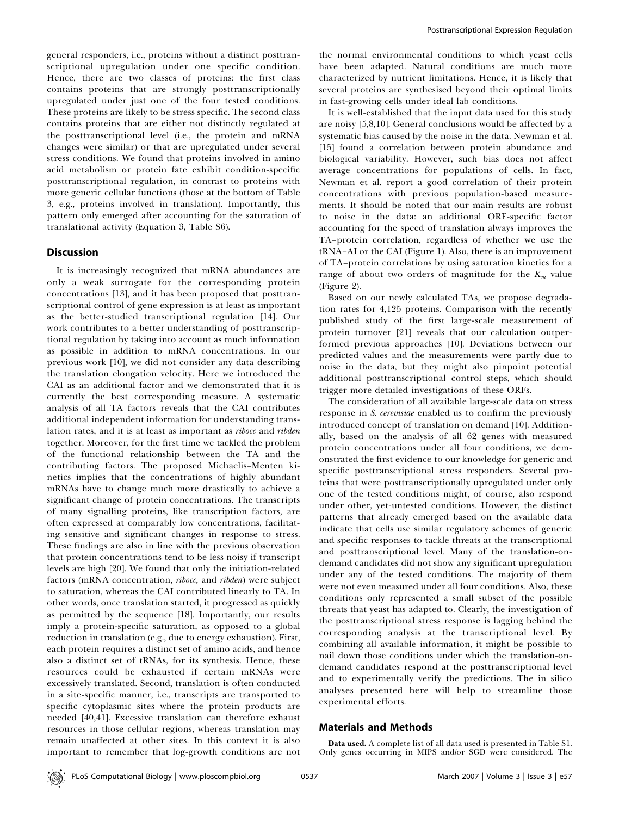general responders, i.e., proteins without a distinct posttranscriptional upregulation under one specific condition. Hence, there are two classes of proteins: the first class contains proteins that are strongly posttranscriptionally upregulated under just one of the four tested conditions. These proteins are likely to be stress specific. The second class contains proteins that are either not distinctly regulated at the posttranscriptional level (i.e., the protein and mRNA changes were similar) or that are upregulated under several stress conditions. We found that proteins involved in amino acid metabolism or protein fate exhibit condition-specific posttranscriptional regulation, in contrast to proteins with more generic cellular functions (those at the bottom of Table 3, e.g., proteins involved in translation). Importantly, this pattern only emerged after accounting for the saturation of translational activity (Equation 3, Table S6).

#### **Discussion**

It is increasingly recognized that mRNA abundances are only a weak surrogate for the corresponding protein concentrations [13], and it has been proposed that posttranscriptional control of gene expression is at least as important as the better-studied transcriptional regulation [14]. Our work contributes to a better understanding of posttranscriptional regulation by taking into account as much information as possible in addition to mRNA concentrations. In our previous work [10], we did not consider any data describing the translation elongation velocity. Here we introduced the CAI as an additional factor and we demonstrated that it is currently the best corresponding measure. A systematic analysis of all TA factors reveals that the CAI contributes additional independent information for understanding translation rates, and it is at least as important as ribocc and ribden together. Moreover, for the first time we tackled the problem of the functional relationship between the TA and the contributing factors. The proposed Michaelis–Menten kinetics implies that the concentrations of highly abundant mRNAs have to change much more drastically to achieve a significant change of protein concentrations. The transcripts of many signalling proteins, like transcription factors, are often expressed at comparably low concentrations, facilitating sensitive and significant changes in response to stress. These findings are also in line with the previous observation that protein concentrations tend to be less noisy if transcript levels are high [20]. We found that only the initiation-related factors (mRNA concentration, ribocc, and ribden) were subject to saturation, whereas the CAI contributed linearly to TA. In other words, once translation started, it progressed as quickly as permitted by the sequence [18]. Importantly, our results imply a protein-specific saturation, as opposed to a global reduction in translation (e.g., due to energy exhaustion). First, each protein requires a distinct set of amino acids, and hence also a distinct set of tRNAs, for its synthesis. Hence, these resources could be exhausted if certain mRNAs were excessively translated. Second, translation is often conducted in a site-specific manner, i.e., transcripts are transported to specific cytoplasmic sites where the protein products are needed [40,41]. Excessive translation can therefore exhaust resources in those cellular regions, whereas translation may remain unaffected at other sites. In this context it is also important to remember that log-growth conditions are not

the normal environmental conditions to which yeast cells have been adapted. Natural conditions are much more characterized by nutrient limitations. Hence, it is likely that several proteins are synthesised beyond their optimal limits in fast-growing cells under ideal lab conditions.

It is well-established that the input data used for this study are noisy [5,8,10]. General conclusions would be affected by a systematic bias caused by the noise in the data. Newman et al. [15] found a correlation between protein abundance and biological variability. However, such bias does not affect average concentrations for populations of cells. In fact, Newman et al. report a good correlation of their protein concentrations with previous population-based measurements. It should be noted that our main results are robust to noise in the data: an additional ORF-specific factor accounting for the speed of translation always improves the TA–protein correlation, regardless of whether we use the tRNA–AI or the CAI (Figure 1). Also, there is an improvement of TA–protein correlations by using saturation kinetics for a range of about two orders of magnitude for the  $K_m$  value (Figure 2).

Based on our newly calculated TAs, we propose degradation rates for 4,125 proteins. Comparison with the recently published study of the first large-scale measurement of protein turnover [21] reveals that our calculation outperformed previous approaches [10]. Deviations between our predicted values and the measurements were partly due to noise in the data, but they might also pinpoint potential additional posttranscriptional control steps, which should trigger more detailed investigations of these ORFs.

The consideration of all available large-scale data on stress response in S. cerevisiae enabled us to confirm the previously introduced concept of translation on demand [10]. Additionally, based on the analysis of all 62 genes with measured protein concentrations under all four conditions, we demonstrated the first evidence to our knowledge for generic and specific posttranscriptional stress responders. Several proteins that were posttranscriptionally upregulated under only one of the tested conditions might, of course, also respond under other, yet-untested conditions. However, the distinct patterns that already emerged based on the available data indicate that cells use similar regulatory schemes of generic and specific responses to tackle threats at the transcriptional and posttranscriptional level. Many of the translation-ondemand candidates did not show any significant upregulation under any of the tested conditions. The majority of them were not even measured under all four conditions. Also, these conditions only represented a small subset of the possible threats that yeast has adapted to. Clearly, the investigation of the posttranscriptional stress response is lagging behind the corresponding analysis at the transcriptional level. By combining all available information, it might be possible to nail down those conditions under which the translation-ondemand candidates respond at the posttranscriptional level and to experimentally verify the predictions. The in silico analyses presented here will help to streamline those experimental efforts.

#### Materials and Methods

Data used. A complete list of all data used is presented in Table S1. Only genes occurring in MIPS and/or SGD were considered. The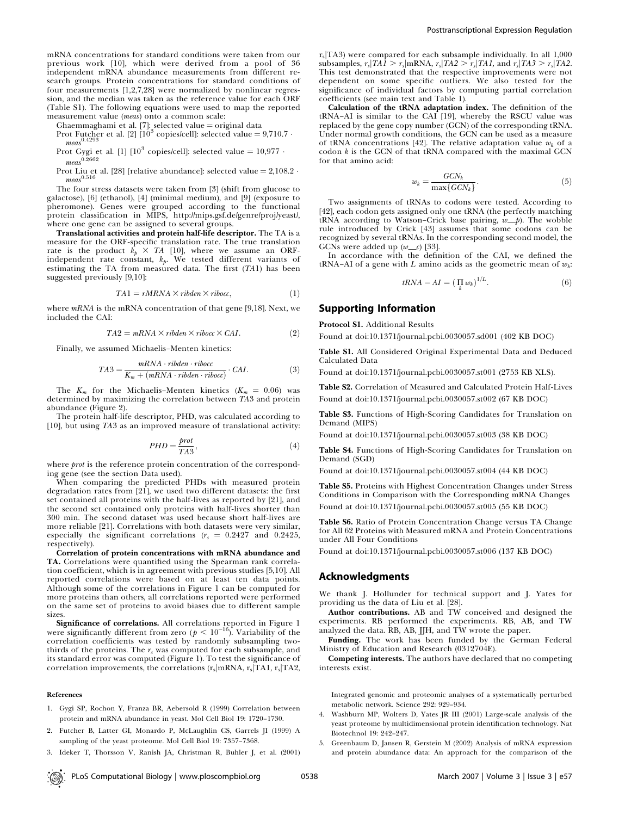mRNA concentrations for standard conditions were taken from our previous work [10], which were derived from a pool of 36 independent mRNA abundance measurements from different research groups. Protein concentrations for standard conditions of four measurements [1,2,7,28] were normalized by nonlinear regression, and the median was taken as the reference value for each ORF (Table S1). The following equations were used to map the reported measurement value (meas) onto a common scale:

Ghaemmaghami et al. [7]: selected value = original data<br>Prot Futcher et al. [2] [10<sup>3</sup> copies/cell]: selected value = 9,710.7 ·  $meas<sup>0</sup>$ 

- Prot Gygi et al. [1]  $[10^3$  copies/cell]: selected value =  $10,977$ .  $meas^{0.54}$
- Prot Liu et al. [28] [relative abundance]: selected value =  $2,108.2$ .  $meas^{0.516}$

The four stress datasets were taken from [3] (shift from glucose to galactose), [6] (ethanol), [4] (minimal medium), and [9] (exposure to pheromone). Genes were grouped according to the functional protein classification in MIPS, http://mips.gsf.de/genre/proj/yeast/, where one gene can be assigned to several groups.

Translational activities and protein half-life descriptor. The TA is a measure for the ORF-specific translation rate. The true translation rate is the product  $k_p \times TA$  [10], where we assume an ORFindependent rate constant,  $k_p$ . We tested different variants of estimating the TA from measured data. The first (TA1) has been suggested previously [9,10]:

$$
TA1 = rMRNA \times ribden \times ribocc,
$$
\n<sup>(1)</sup>

where mRNA is the mRNA concentration of that gene [9,18]. Next, we included the CAI:

$$
TA2 = mRNA \times ribden \times ribocc \times CAI.
$$
 (2)

Finally, we assumed Michaelis–Menten kinetics:

$$
TA3 = \frac{mRNA \cdot ribden \cdot ribocc}{K_m + (mRNA \cdot ribden \cdot ribocc)} \cdot CAI.
$$
 (3)

The  $K_m$  for the Michaelis–Menten kinetics ( $K_m = 0.06$ ) was determined by maximizing the correlation between TA3 and protein abundance (Figure 2).

The protein half-life descriptor, PHD, was calculated according to [10], but using TA3 as an improved measure of translational activity:

$$
PHD = \frac{prot}{TA3},\tag{4}
$$

where *prot* is the reference protein concentration of the corresponding gene (see the section Data used).

When comparing the predicted PHDs with measured protein degradation rates from [21], we used two different datasets: the first set contained all proteins with the half-lives as reported by [21], and the second set contained only proteins with half-lives shorter than 300 min. The second dataset was used because short half-lives are more reliable [21]. Correlations with both datasets were very similar, especially the significant correlations ( $r_s = 0.2427$  and 0.2425, respectively).

Correlation of protein concentrations with mRNA abundance and TA. Correlations were quantified using the Spearman rank correlation coefficient, which is in agreement with previous studies [5,10]. All reported correlations were based on at least ten data points. Although some of the correlations in Figure 1 can be computed for more proteins than others, all correlations reported were performed on the same set of proteins to avoid biases due to different sample sizes.

**Significance of correlations.** All correlations reported in Figure 1 were significantly different from zero ( $p < 10^{-16}$ ). Variability of the correlation coefficients was tested by randomly subsampling twothirds of the proteins. The  $r<sub>s</sub>$  was computed for each subsample, and its standard error was computed (Figure 1). To test the significance of correlation improvements, the correlations  $(r_s | mRNA, r_s | TAI, r_s | TA2,$ 

#### References

- 1. Gygi SP, Rochon Y, Franza BR, Aebersold R (1999) Correlation between protein and mRNA abundance in yeast. Mol Cell Biol 19: 1720–1730.
- 2. Futcher B, Latter GI, Monardo P, McLaughlin CS, Garrels JI (1999) A sampling of the yeast proteome. Mol Cell Biol 19: 7357–7368.
- 3. Ideker T, Thorsson V, Ranish JA, Christman R, Buhler J, et al. (2001)

 $r_s$ TA3) were compared for each subsample individually. In all 1,000 subsamples,  $r_s|TA\hat{I} > r_s|mnNA$ ,  $r_s|TA2 > r_s|TA1$ , and  $r_s|TA3 > r_s|TA2$ . This test demonstrated that the respective improvements were not dependent on some specific outliers. We also tested for the significance of individual factors by computing partial correlation coefficients (see main text and Table 1).

Calculation of the tRNA adaptation index. The definition of the  $tRNA-AI$  is similar to the CAI [19], whereby the RSCU value was replaced by the gene copy number (GCN) of the corresponding tRNA. Under normal growth conditions, the GCN can be used as a measure of tRNA concentrations [42]. The relative adaptation value  $w_k$  of a  $\operatorname{codon} k$  is the GCN of that tRNA compared with the maximal GCN for that amino acid:

$$
w_k = \frac{GCN_k}{\max\{GCN_k\}}.\tag{5}
$$

Two assignments of tRNAs to codons were tested. According to [42], each codon gets assigned only one tRNA (the perfectly matching tRNA according to Watson-Crick base pairing,  $w_p$ ). The wobble rule introduced by Crick [43] assumes that some codons can be recognized by several tRNAs. In the corresponding second model, the GCNs were added up  $(w_0 c)$  [33].

In accordance with the definition of the CAI, we defined the tRNA–AI of a gene with L amino acids as the geometric mean of  $w_k$ :

$$
tRNA - AI = \left(\prod_{k} w_k\right)^{1/L}.\tag{6}
$$

#### Supporting Information

Protocol S1. Additional Results

Found at doi:10.1371/journal.pcbi.0030057.sd001 (402 KB DOC)

Table S1. All Considered Original Experimental Data and Deduced Calculated Data

Found at doi:10.1371/journal.pcbi.0030057.st001 (2753 KB XLS).

Table S2. Correlation of Measured and Calculated Protein Half-Lives Found at doi:10.1371/journal.pcbi.0030057.st002 (67 KB DOC)

Table S3. Functions of High-Scoring Candidates for Translation on Demand (MIPS)

Found at doi:10.1371/journal.pcbi.0030057.st003 (38 KB DOC)

Table S4. Functions of High-Scoring Candidates for Translation on Demand (SGD)

Found at doi:10.1371/journal.pcbi.0030057.st004 (44 KB DOC)

Table S5. Proteins with Highest Concentration Changes under Stress Conditions in Comparison with the Corresponding mRNA Changes Found at doi:10.1371/journal.pcbi.0030057.st005 (55 KB DOC)

Table S6. Ratio of Protein Concentration Change versus TA Change for All 62 Proteins with Measured mRNA and Protein Concentrations under All Four Conditions

Found at doi:10.1371/journal.pcbi.0030057.st006 (137 KB DOC)

#### Acknowledgments

We thank J. Hollunder for technical support and J. Yates for providing us the data of Liu et al. [28].

Author contributions. AB and TW conceived and designed the experiments. RB performed the experiments. RB, AB, and TW analyzed the data. RB, AB, JJH, and TW wrote the paper.

Funding. The work has been funded by the German Federal Ministry of Education and Research (0312704E).

Competing interests. The authors have declared that no competing interests exist.

Integrated genomic and proteomic analyses of a systematically perturbed metabolic network. Science 292: 929–934.

- 4. Washburn MP, Wolters D, Yates JR III (2001) Large-scale analysis of the yeast proteome by multidimensional protein identification technology. Nat Biotechnol 19: 242–247.
- 5. Greenbaum D, Jansen R, Gerstein M (2002) Analysis of mRNA expression and protein abundance data: An approach for the comparison of the